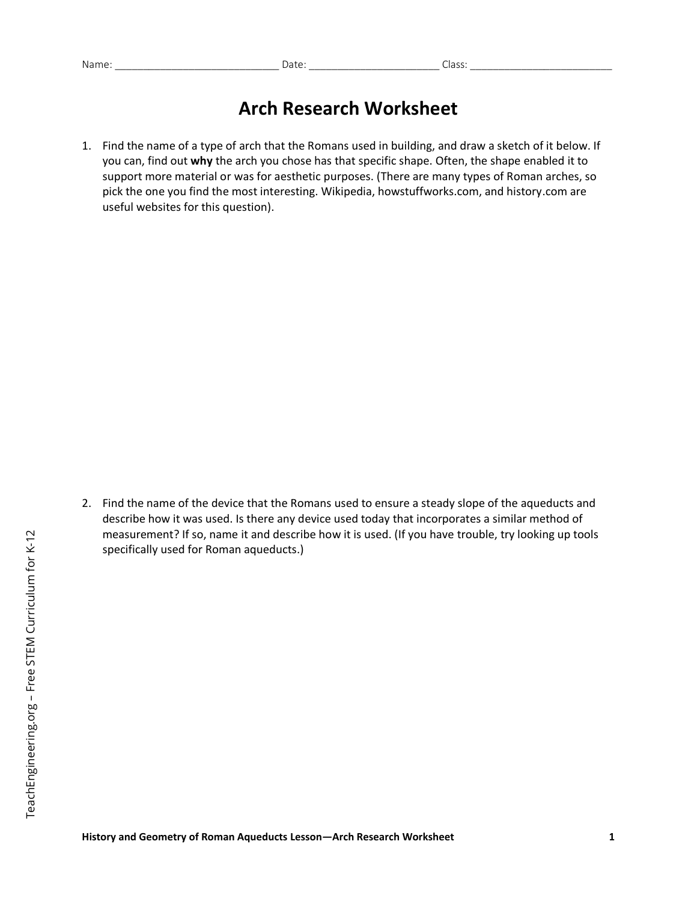## **Arch Research Worksheet**

1. Find the name of a type of arch that the Romans used in building, and draw a sketch of it below. If you can, find out **why** the arch you chose has that specific shape. Often, the shape enabled it to support more material or was for aesthetic purposes. (There are many types of Roman arches, so pick the one you find the most interesting. Wikipedia, howstuffworks.com, and history.com are useful websites for this question).

2. Find the name of the device that the Romans used to ensure a steady slope of the aqueducts and describe how it was used. Is there any device used today that incorporates a similar method of measurement? If so, name it and describe how it is used. (If you have trouble, try looking up tools specifically used for Roman aqueducts.)